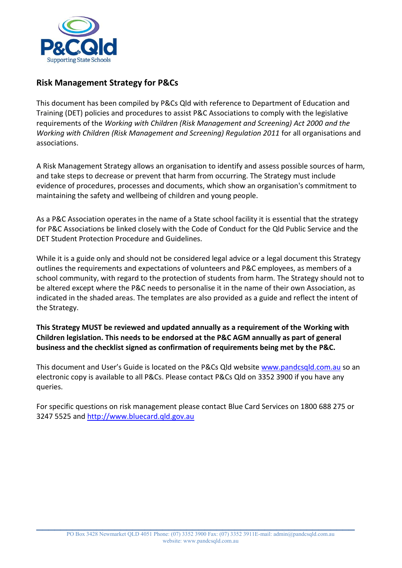

# **Risk Management Strategy for P&Cs**

This document has been compiled by P&Cs Qld with reference to Department of Education and Training (DET) policies and procedures to assist P&C Associations to comply with the legislative requirements of the *Working with Children (Risk Management and Screening) Act 2000 and the Working with Children (Risk Management and Screening) Regulation 2011* for all organisations and associations.

A Risk Management Strategy allows an organisation to identify and assess possible sources of harm, and take steps to decrease or prevent that harm from occurring. The Strategy must include evidence of procedures, processes and documents, which show an organisation's commitment to maintaining the safety and wellbeing of children and young people.

As a P&C Association operates in the name of a State school facility it is essential that the strategy for P&C Associations be linked closely with the Code of Conduct for the Qld Public Service and the DET Student Protection Procedure and Guidelines.

While it is a guide only and should not be considered legal advice or a legal document this Strategy outlines the requirements and expectations of volunteers and P&C employees, as members of a school community, with regard to the protection of students from harm. The Strategy should not to be altered except where the P&C needs to personalise it in the name of their own Association, as indicated in the shaded areas. The templates are also provided as a guide and reflect the intent of the Strategy.

**This Strategy MUST be reviewed and updated annually as a requirement of the Working with Children legislation. This needs to be endorsed at the P&C AGM annually as part of general business and the checklist signed as confirmation of requirements being met by the P&C.**

This document and User's Guide is located on the P&Cs Qld website [www.pandcsqld.com.au](http://www.pandcsqld.com.au/) so an electronic copy is available to all P&Cs. Please contact P&Cs Qld on 3352 3900 if you have any queries.

For specific questions on risk management please contact Blue Card Services on 1800 688 275 or 3247 5525 and [http://www.bluecard.qld.gov.au](http://www.bluecard.qld.gov.au/)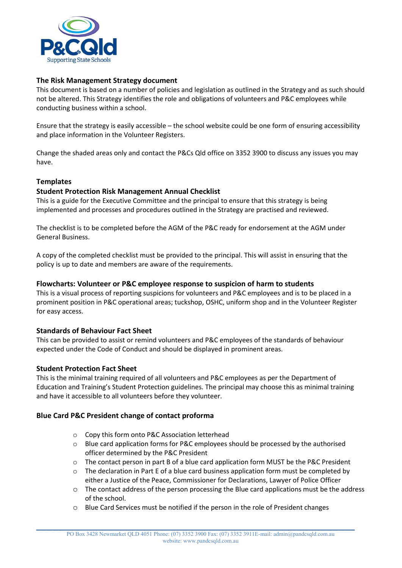

# **The Risk Management Strategy document**

This document is based on a number of policies and legislation as outlined in the Strategy and as such should not be altered. This Strategy identifies the role and obligations of volunteers and P&C employees while conducting business within a school.

Ensure that the strategy is easily accessible – the school website could be one form of ensuring accessibility and place information in the Volunteer Registers.

Change the shaded areas only and contact the P&Cs Qld office on 3352 3900 to discuss any issues you may have.

# **Templates**

## **Student Protection Risk Management Annual Checklist**

This is a guide for the Executive Committee and the principal to ensure that this strategy is being implemented and processes and procedures outlined in the Strategy are practised and reviewed.

The checklist is to be completed before the AGM of the P&C ready for endorsement at the AGM under General Business.

A copy of the completed checklist must be provided to the principal. This will assist in ensuring that the policy is up to date and members are aware of the requirements.

## **Flowcharts: Volunteer or P&C employee response to suspicion of harm to students**

This is a visual process of reporting suspicions for volunteers and P&C employees and is to be placed in a prominent position in P&C operational areas; tuckshop, OSHC, uniform shop and in the Volunteer Register for easy access.

## **Standards of Behaviour Fact Sheet**

This can be provided to assist or remind volunteers and P&C employees of the standards of behaviour expected under the Code of Conduct and should be displayed in prominent areas.

#### **Student Protection Fact Sheet**

This is the minimal training required of all volunteers and P&C employees as per the Department of Education and Training's Student Protection guidelines. The principal may choose this as minimal training and have it accessible to all volunteers before they volunteer.

## **Blue Card P&C President change of contact proforma**

- o Copy this form onto P&C Association letterhead
- o Blue card application forms for P&C employees should be processed by the authorised officer determined by the P&C President
- $\circ$  The contact person in part B of a blue card application form MUST be the P&C President
- $\circ$  The declaration in Part E of a blue card business application form must be completed by either a Justice of the Peace, Commissioner for Declarations, Lawyer of Police Officer
- o The contact address of the person processing the Blue card applications must be the address of the school.
- o Blue Card Services must be notified if the person in the role of President changes